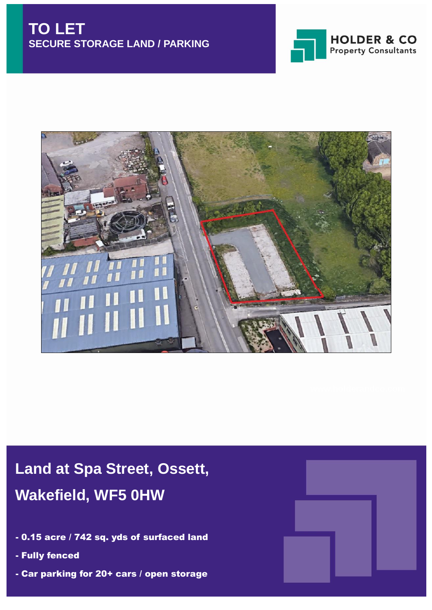



# **Land at Spa Street, Ossett, Wakefield, WF5 0HW**

- 0.15 acre / 742 sq. yds of surfaced land
- Fully fenced
- Car parking for 20+ cars / open storage